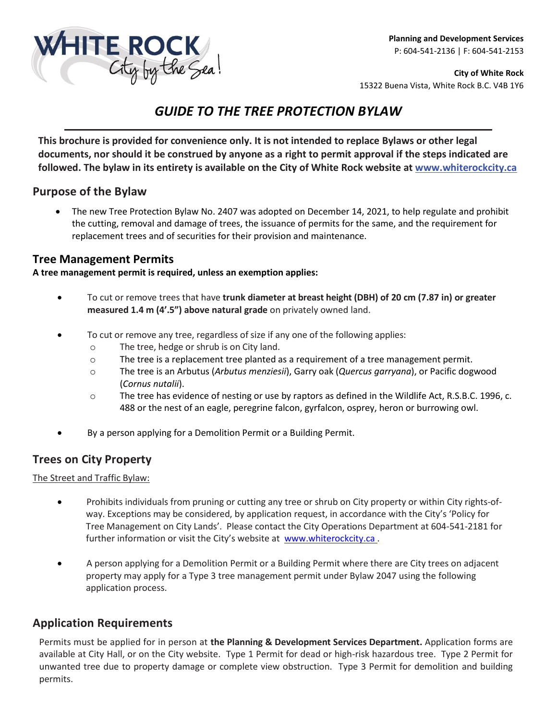

**City of White Rock**  15322 Buena Vista, White Rock B.C. V4B 1Y6

# *GUIDE TO THE TREE PROTECTION BYLAW*

**This brochure is provided for convenience only. It is not intended to replace Bylaws or other legal documents, nor should it be construed by anyone as a right to permit approval if the steps indicated are followed. The bylaw in its entirety is available on the City of White Rock website at [www.whiterockcity.ca](http://www.whiterockcity.ca/)**

### **Purpose of the Bylaw**

• The new Tree Protection Bylaw No. 2407 was adopted on December 14, 2021, to help regulate and prohibit the cutting, removal and damage of trees, the issuance of permits for the same, and the requirement for replacement trees and of securities for their provision and maintenance.

### **Tree Management Permits**

#### **A tree management permit is required, unless an exemption applies:**

- To cut or remove trees that have **trunk diameter at breast height (DBH) of 20 cm (7.87 in) or greater measured 1.4 m (4'.5") above natural grade** on privately owned land.
- To cut or remove any tree, regardless of size if any one of the following applies:
	- o The tree, hedge or shrub is on City land.
	- o The tree is a replacement tree planted as a requirement of a tree management permit.
	- o The tree is an Arbutus (*Arbutus menziesii*), Garry oak (*Quercus garryana*), or Pacific dogwood (*Cornus nutalii*).
	- o The tree has evidence of nesting or use by raptors as defined in the Wildlife Act, R.S.B.C. 1996, c. 488 or the nest of an eagle, peregrine falcon, gyrfalcon, osprey, heron or burrowing owl.
- By a person applying for a Demolition Permit or a Building Permit.

### **Trees on City Property**

The Street and Traffic Bylaw:

- Prohibits individuals from pruning or cutting any tree or shrub on City property or within City rights-ofway. Exceptions may be considered, by application request, in accordance with the City's 'Policy for Tree Management on City Lands'. Please contact the City Operations Department at 604-541-2181 for further information or visit the City's website at [www.whiterockcity.ca .](http://www.whiterockcity.ca/)
- A person applying for a Demolition Permit or a Building Permit where there are City trees on adjacent property may apply for a Type 3 tree management permit under Bylaw 2047 using the following application process.

### **Application Requirements**

Permits must be applied for in person at **the Planning & Development Services Department.** Application forms are available at City Hall, or on the City website. Type 1 Permit for dead or high-risk hazardous tree. Type 2 Permit for unwanted tree due to property damage or complete view obstruction. Type 3 Permit for demolition and building permits.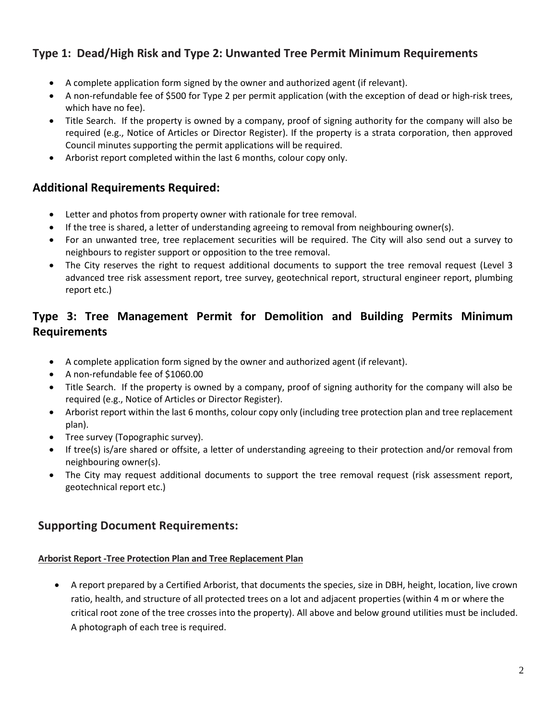## **Type 1: Dead/High Risk and Type 2: Unwanted Tree Permit Minimum Requirements**

- A complete application form signed by the owner and authorized agent (if relevant).
- A non-refundable fee of \$500 for Type 2 per permit application (with the exception of dead or high-risk trees, which have no fee).
- Title Search. If the property is owned by a company, proof of signing authority for the company will also be required (e.g., Notice of Articles or Director Register). If the property is a strata corporation, then approved Council minutes supporting the permit applications will be required.
- Arborist report completed within the last 6 months, colour copy only.

### **Additional Requirements Required:**

- Letter and photos from property owner with rationale for tree removal.
- If the tree is shared, a letter of understanding agreeing to removal from neighbouring owner(s).
- For an unwanted tree, tree replacement securities will be required. The City will also send out a survey to neighbours to register support or opposition to the tree removal.
- The City reserves the right to request additional documents to support the tree removal request (Level 3 advanced tree risk assessment report, tree survey, geotechnical report, structural engineer report, plumbing report etc.)

## **Type 3: Tree Management Permit for Demolition and Building Permits Minimum Requirements**

- A complete application form signed by the owner and authorized agent (if relevant).
- A non-refundable fee of \$1060.00
- Title Search. If the property is owned by a company, proof of signing authority for the company will also be required (e.g., Notice of Articles or Director Register).
- Arborist report within the last 6 months, colour copy only (including tree protection plan and tree replacement plan).
- Tree survey (Topographic survey).
- If tree(s) is/are shared or offsite, a letter of understanding agreeing to their protection and/or removal from neighbouring owner(s).
- The City may request additional documents to support the tree removal request (risk assessment report, geotechnical report etc.)

## **Supporting Document Requirements:**

#### **Arborist Report -Tree Protection Plan and Tree Replacement Plan**

• A report prepared by a Certified Arborist, that documents the species, size in DBH, height, location, live crown ratio, health, and structure of all protected trees on a lot and adjacent properties (within 4 m or where the critical root zone of the tree crosses into the property). All above and below ground utilities must be included. A photograph of each tree is required.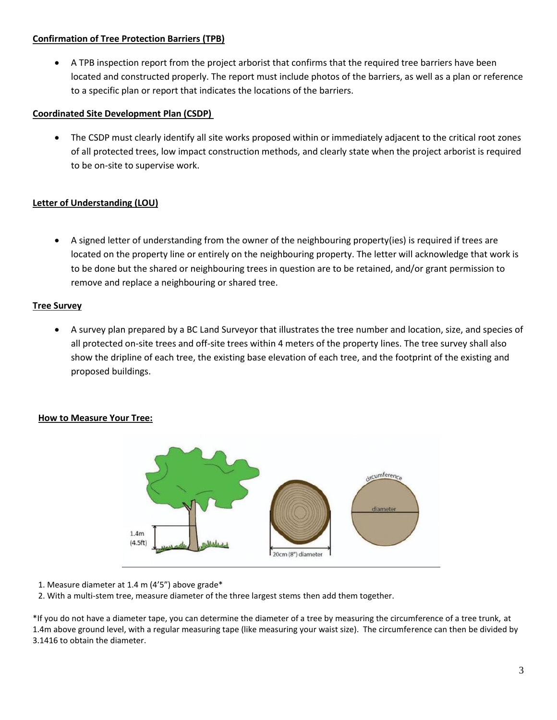#### **Confirmation of Tree Protection Barriers (TPB)**

• A TPB inspection report from the project arborist that confirms that the required tree barriers have been located and constructed properly. The report must include photos of the barriers, as well as a plan or reference to a specific plan or report that indicates the locations of the barriers.

#### **Coordinated Site Development Plan (CSDP)**

• The CSDP must clearly identify all site works proposed within or immediately adjacent to the critical root zones of all protected trees, low impact construction methods, and clearly state when the project arborist is required to be on-site to supervise work.

#### **Letter of Understanding (LOU)**

• A signed letter of understanding from the owner of the neighbouring property(ies) is required if trees are located on the property line or entirely on the neighbouring property. The letter will acknowledge that work is to be done but the shared or neighbouring trees in question are to be retained, and/or grant permission to remove and replace a neighbouring or shared tree.

#### **Tree Survey**

• A survey plan prepared by a BC Land Surveyor that illustrates the tree number and location, size, and species of all protected on-site trees and off-site trees within 4 meters of the property lines. The tree survey shall also show the dripline of each tree, the existing base elevation of each tree, and the footprint of the existing and proposed buildings.

#### **How to Measure Your Tree:**



- 1. Measure diameter at 1.4 m (4'5") above grade\*
- 2. With a multi-stem tree, measure diameter of the three largest stems then add them together.

\*If you do not have a diameter tape, you can determine the diameter of a tree by measuring the circumference of a tree trunk, at 1.4m above ground level, with a regular measuring tape (like measuring your waist size). The circumference can then be divided by 3.1416 to obtain the diameter.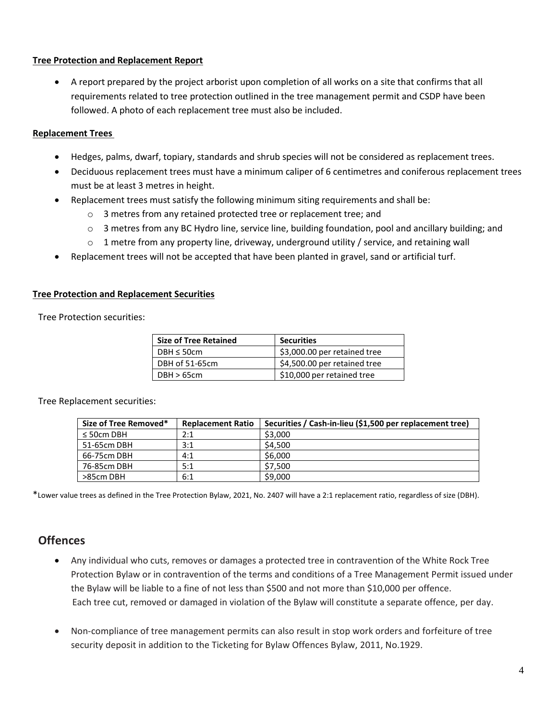#### **Tree Protection and Replacement Report**

• A report prepared by the project arborist upon completion of all works on a site that confirms that all requirements related to tree protection outlined in the tree management permit and CSDP have been followed. A photo of each replacement tree must also be included.

#### **Replacement Trees**

- Hedges, palms, dwarf, topiary, standards and shrub species will not be considered as replacement trees.
- Deciduous replacement trees must have a minimum caliper of 6 centimetres and coniferous replacement trees must be at least 3 metres in height.
- Replacement trees must satisfy the following minimum siting requirements and shall be:
	- o 3 metres from any retained protected tree or replacement tree; and
	- $\circ$  3 metres from any BC Hydro line, service line, building foundation, pool and ancillary building; and
	- $\circ$  1 metre from any property line, driveway, underground utility / service, and retaining wall
- Replacement trees will not be accepted that have been planted in gravel, sand or artificial turf.

#### **Tree Protection and Replacement Securities**

Tree Protection securities:

| <b>Size of Tree Retained</b> | <b>Securities</b>            |
|------------------------------|------------------------------|
| $DBH \leq 50cm$              | \$3,000.00 per retained tree |
| DBH of 51-65cm               | \$4,500.00 per retained tree |
| DBH > 65cm                   | \$10,000 per retained tree   |

Tree Replacement securities:

| Size of Tree Removed* | <b>Replacement Ratio</b> | Securities / Cash-in-lieu (\$1,500 per replacement tree) |
|-----------------------|--------------------------|----------------------------------------------------------|
| $\leq$ 50cm DBH       | 2:1                      | \$3,000                                                  |
| 51-65cm DBH           | 3:1                      | \$4.500                                                  |
| 66-75cm DBH           | 4:1                      | \$6,000                                                  |
| 76-85cm DBH           | 5:1                      | \$7.500                                                  |
| >85cm DBH             | 6:1                      | \$9,000                                                  |

\*Lower value trees as defined in the Tree Protection Bylaw, 2021, No. 2407 will have a 2:1 replacement ratio, regardless of size (DBH).

## **Offences**

- Any individual who cuts, removes or damages a protected tree in contravention of the White Rock Tree Protection Bylaw or in contravention of the terms and conditions of a Tree Management Permit issued under the Bylaw will be liable to a fine of not less than \$500 and not more than \$10,000 per offence. Each tree cut, removed or damaged in violation of the Bylaw will constitute a separate offence, per day.
- Non-compliance of tree management permits can also result in stop work orders and forfeiture of tree security deposit in addition to the Ticketing for Bylaw Offences Bylaw, 2011, No.1929.